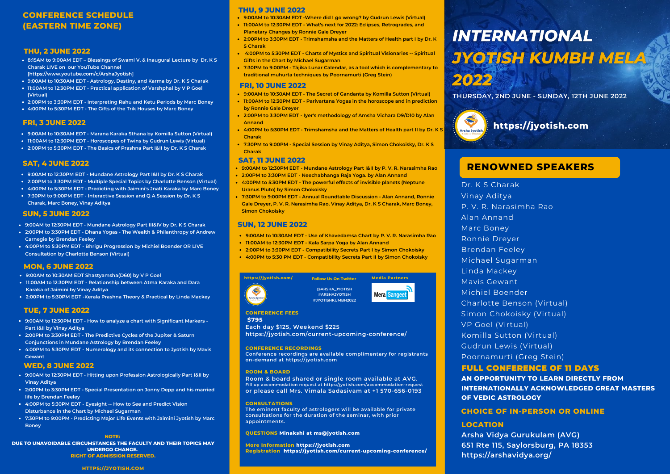# **CONFERENCE SCHEDULE (EASTERN TIME ZONE)**

#### **THU, 2 JUNE 2022**

- **8:15AM to 9:00AM EDT – Blessings of Swami V. & [Inaugural](https://jyotish.com/dr-ks-charak) Lecture by Dr. K S Charak LIVE on our YouTube Channel [[https://www.youtube.com/c/ArshaJyotish\]](https://www.youtube.com/c/ArshaJyotish)**
- **9:00AM to 10:30AM EDT - [Astrology,](https://jyotish.com/dr-ks-charak/#topics2022) Destiny, and Karma by Dr. K S [Charak](https://jyotish.com/dr-ks-charak)**
- **11:00AM to 12:30PM EDT - Practical [application](https://jyotish.com/v-p-goel/#topics2022) of Varshphal by V P [Goel](https://jyotish.com/v-p-goel) (Virtual)**
- **2:00PM to 3:30PM EDT [-](https://jyotish.com/dr-ks-charak/#topics2022) [Interpreting](https://jyotish.com/marc-boney-2/#topics2022) Rahu and Ketu Periods by Marc [Boney](https://jyotish.com/marc-boney-2/)**
- **4:00PM to 5:30PM EDT - The Gifts of the Trik [Houses](https://jyotish.com/marc-boney-2/#topics2022) by Marc [Boney](https://jyotish.com/marc-boney-2/)**

## **FRI, 3 JUNE 2022**

- **9:00AM to 10:30AM EDT - [Marana](https://jyotish.com/komillasutton/#topics2022) Karaka Sthana by [Komilla](https://jyotish.com/komillasutton) Sutton (Virtual)**
- **11:00AM to 12:30PM EDT - [Horoscopes](https://jyotish.com/gudrun_lewis/#topics2022) of Twins by [Gudrun](https://jyotish.com/gudrun_lewis) Lewis (Virtual)**
- **2:00PM to 5:30PM EDT - The Basics of [Prashna](https://jyotish.com/dr-ks-charak/#topics2022) Part I&II by Dr. K S [Charak](https://jyotish.com/dr-ks-charak)**

#### **SAT, 4 JUNE 2022**

- **9:00AM to 12:30PM EDT - Mundane [Astrology](https://jyotish.com/dr-ks-charak/#topics2022) Part I&II by Dr. K S [Charak](https://jyotish.com/dr-ks-charak)**
- **2:00PM to 3:30PM EDT - [Multiple](https://jyotish.com/charlottebenson/#topics2022) Special Topics by [Charlotte](https://jyotish.com/charlottebenson) Benson (Virtual)**
- **4:00PM to 5:30PM EDT - [Predicting](https://jyotish.com/marc-boney-2/#topics2022) with Jaimini's Jnati Karaka by Marc [Boney](https://jyotish.com/marc-boney-2/)**
- **7:30PM to 9:00PM EDT - [I](https://jyotish.com/dr-ks-charak)[nteractive](https://jyotish.com/dr-ks-charak/#topics2022) Session and Q A Session by Dr. K S Charak, Marc [Boney,](https://jyotish.com/marc-boney-2/) Vinay [Aditya](https://jyotish.com/vinay-aditya)**

#### **SUN, 5 JUNE 2022**

- **9:00AM to 12:30PM EDT - Mundane [Astrology](https://jyotish.com/dr-ks-charak/#topics2022) Part III&IV by Dr. K S [Charak](https://jyotish.com/dr-ks-charak)**
- **2:00PM to 3:30PM EDT - Dhana Yogas - The Wealth & [Philanthropy](https://jyotish.com/brendan-feeley/#topics2022) of Andrew Carnegie by [Brendan](https://jyotish.com/brendan-feeley) Feeley**
- **4:00PM to 5:30PM EDT - Bhrigu [Progression](https://jyotish.com/michielboender/#topics2022) by Michiel [Boender](https://jyotish.com/michielboender) OR LIVE [Consultation](https://jyotish.com/charlottebenson/#topics2022) by [Charlotte](https://jyotish.com/charlottebenson/) Benson (Virtual)**

## **MON, 6 JUNE 2022**

- **9:00AM to 10:30AM EDT [Shastyamsha\(D60\)](https://jyotish.com/v-p-goel/#topics2022) by V P [Goel](https://jyotish.com/v-p-goel)**
- **11:00AM to 12:30PM EDT - [Relationship](https://jyotish.com/vinay-aditya/#topics2022) between Atma Karaka and Dara Karaka of Jaimini by Vinay [Aditya](https://jyotish.com/vinay-aditya)**
- **2:00PM to 5:30PM EDT -Kerala Prashna Theory & [Practical](https://jyotish.com/linda-mackey/#topics2022) by Linda [Mackey](https://jyotish.com/linda-mackey/)**

## **TUE, 7 JUNE 2022**

- **9:00AM to 12:30PM EDT - How to analyze a chart with [Significant](https://jyotish.com/vinay-aditya/#topics2022) Markers - Part I&II by Vinay [Aditya](https://jyotish.com/vinay-aditya)**
- **2:00PM to 3:30PM EDT - The Predictive Cycles of the Jupiter & Saturn [Conjunctions](https://jyotish.com/brendan-feeley/topics2022) in Mundane Astrology by [Brendan](https://jyotish.com/brendan-feeley) Feeley**
- **4:00PM to 5:30PM EDT - [Numerology](https://jyotish.com/mavis-gewant/) and its connection to Jyotish by Mavis Gewant**

## **WED, 8 JUNE 2022**

- **9:00AM to 12:30PM EDT - Hitting upon Profession [Astrologically](https://jyotish.com/vinay-aditya/#topics2022) Part I&II by Vinay [Aditya](https://jyotish.com/vinay-aditya)**
- **2:00PM to 3:30PM EDT - Special [Presentation](https://jyotish.com/brendan-feeley/#topics2022) on Jonny Depp and his married life by [Brendan](https://jyotish.com/brendan-feeley) Feeley**
- **4:00PM to 5:30PM EDT - Eyesight -- How to See and Predict Vision [Disturbance](https://jyotish.com/michaelsugarman/#topics2022) in the Chart by Michael [Sugarman](https://jyotish.com/michaelsugarman/)**
- **7:30PM to 9:00PM - [Predicting](https://jyotish.com/marc-boney-2/#topics2022) Major Life Events with Jaimini Jyotish by Marc Boney**

#### **NOTE:**

**DUE TO UNAVOIDABLE CIRCUMSTANCES THE FACULTY AND THEIR TOPICS MAY UNDERGO CHANGE. RIGHT OF ADMISSION RESERVED.**

#### **[HTTPS://JYOTISH.COM](https://jyotish.com/)**

#### **THU, 9 JUNE 2022**

- **9:00AM to 10:30AM EDT -Where did I go [wrong?](https://jyotish.com/gudrun_lewis/#topics2022) by [Gudrun](https://jyotish.com/gudrun_lewis/) Lewis (Virtual)**
- **11:00AM to 12:30PM EDT - What's next for 2022: Eclipses, [Retrogrades,](https://jyotish.com/ronnie_gale_dreyer/#topics2022) and Planetary Changes by [Ronnie](https://jyotish.com/ronnie_gale_dreyer) Gale Dreyer**
- **2:00PM to 3:30PM EDT - [Trimshamsha](https://jyotish.com/dr-ks-charak) and the Matters of Health part I by Dr. K S Charak**
- **4:00PM to 5:30PM EDT - Charts of Mystics and Spiritual [Visionaries](https://jyotish.com/michaelsugarman/#topics2022) -- Spiritual Gifts in the Chart by Michael [Sugarman](https://jyotish.com/michaelsugarman/)**
- **7:30PM to 9:00PM -Tājika Lunar Calendar, as a tool which is [complementary](https://jyotish.com/poornamurti/#topics2022) to traditional muhurta techniques by [Poornamurti](https://jyotish.com/poornamurti/) (Greg Stein)**

#### **FRI, 10 JUNE 2022**

- **9:00AM to 10:30AM EDT - The Secret of [Gandanta](https://jyotish.com/komillasutton/#topics2022) by [Komilla](https://jyotish.com/komillasutton) Sutton (Virtual)**
- **11:00AM to 12:30PM EDT - [Parivartana](https://jyotish.com/ronnie_gale_dreyer/#topics2022) Yogas in the horoscope and in prediction by [Ronnie](https://jyotish.com/ronnie_gale_dreyer) Gale Dreyer**
- **2:00PM to 3:30PM EDT - Iyer's [methodology](https://jyotish.com/alan-annand/#topics2022) of Amsha Vichara D9/D10 by Alan Annand**
- **4:00PM to 5:30PM EDT - [Trimshamsha](https://jyotish.com/dr-ks-charak/#topics2022) and the Matters of Health part II by Dr. K S Charak**
- **7:30PM to 9:00PM -Special Session by Vinay [Aditya,](https://jyotish.com/vinay-aditya) Simon [Chokoisk](https://jyotish.com/simonchokoisky)[y,](https://jyotish.com/dr-ks-charak) Dr. K S Charak**

### **SAT, 11 JUNE 2022**

- **9:00AM to 12:30PM EDT - Mundane [Astrology](https://jyotish.com/pvr-narasimha-rao/#topics2022) Part I&II by P. V. R. [Narasimha](https://jyotish.com/pvr-narasimha-rao) Rao**
- **2:00PM to 3:30PM EDT - [Neechabhanga](https://jyotish.com/alan-annand/#topics2022) Raja Yoga. by Alan [Annand](https://jyotish.com/alan-annand)**
- **4:00PM to 5:30PM EDT - The powerful effects of invisible planets (Neptune Uranus Pluto) by Simon [Chokoisky](https://jyotish.com/simonchokoisky/#topics2022)**
- **7:30PM to 9:00PM EDT - Annual [Roundtable](https://jyotish.com/ronnie_gale_dreyer) Discussion - Alan [Annand,](https://jyotish.com/alan-annand) Ronnie Gale Dreyer, P. V. R. [Narasimha](https://jyotish.com/pvr-narasimha-rao) Rao, Vinay [Aditya](https://jyotish.com/vinay-aditya), Dr. K S [Charak,](https://jyotish.com/dr-ks-charak) Marc Boney, Simon [Chokoisky](https://jyotish.com/simonchokoisky)**

#### **SUN, 12 JUNE 2022**

- **9:00AM to 10:30AM EDT - Use of [Khavedamsa](https://jyotish.com/pvr-narasimha-rao/#topics2022) Chart by P. V. R. [Narasimha](https://jyotish.com/pvr-narasimha-rao) Rao**
- **11:00AM to 12:30PM EDT - Kala [Sarpa](https://jyotish.com/alan-annand/#topics2022) Yoga by Alan [Annand](https://jyotish.com/alan-annand)**
- **2:00PM to 3:30PM EDT - [Compatibility](https://jyotish.com/simonchokoisky/#topics2022) Secrets Part I by Simon [Chokoisky](https://jyotish.com/simonchokoisky)**
- **4:00PM to 5:30 PM EDT - [Compatibility](https://jyotish.com/simonchokoisky/#topics2022) Secrets Part II by Simon [Chokoisky](https://jyotish.com/simonchokoisky)**

**Follow Us On Twitter**



**@ARSHA\_JYOTISH #ARSHAJYOTISH #JYOTISHKUMBH2022**

Mera Sangeet

#### **CONFERENCE FEES \$795**

**Each day \$125, Weekend \$225 <https://jyotish.com/current-upcoming-conference/>**

#### **CONFERENCE RECORDINGS**

**Conference recordings are available complimentary for registrants on-demand at https://jyotish.com**

#### **ROOM & BOARD**

**Room & board shared or single room available at AVG. Fill up accommodation request at https:/jyotish.com/accommodation-request or please call Mrs. Vimala Sadasivam at +1 570-656-0193**

#### **CONSULTATIONS**

**The eminent faculty of astrologers will be available for private consultations for the duration of the seminar, with prior appointments.**

#### **QUESTIONS Minakshi at [ms@jyotish.com](mailto:dawn.giel@gmail.com)**

**More Information [https://jyotish.com](https://jyotish.com/) Registration <https://jyotish.com/current-upcoming-conference/>**

# **INTERNATIONAL JYOTISH KUMBH MELA** 2022

**THURSDAY, 2ND JUNE - SUNDAY, 12TH JUNE 2022**



# **RENOWNED SPEAKERS**

Dr. K S Charak Vinay Aditya P. V. R. [Narasimha](https://jyotish.com/current-upcoming-conference/#ekit_team_modal_d077387) Rao Alan Annand Marc Boney Ronnie Dreyer Brendan Feeley Michael Sugarman Linda Mackey Mavis Gewant Michiel Boender Charlotte Benson (Virtual) Simon Chokoisky (Virtual) VP Goel (Virtual) Komilla Sutton (Virtual) Gudrun Lewis (Virtual) Poornamurti (Greg Stein)

## FULL CONFERENCE OF 11 DAYS

**AN OPPORTUNITY TO LEARN DIRECTLY FROM INTERNATIONALLY ACKNOWLEDGED GREAT MASTERS OF VEDIC ASTROLOGY**

## **CHOICE OF IN-PERSON OR ONLINE**

#### **LOCATION**

**Arsha Vidya Gurukulam (AVG) 651 Rte 115, Saylorsburg, PA 18353 <https://arshavidya.org/>**